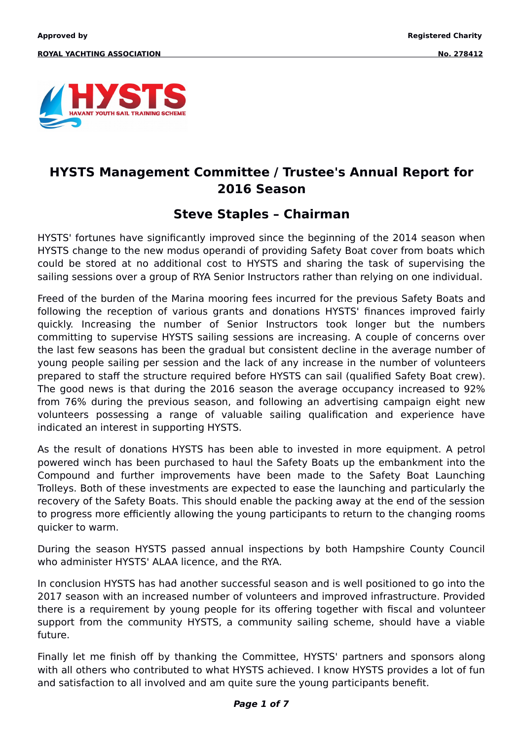

### **HYSTS Management Committee / Trustee's Annual Report for 2016 Season**

### **Steve Staples – Chairman**

HYSTS' fortunes have significantly improved since the beginning of the 2014 season when HYSTS change to the new modus operandi of providing Safety Boat cover from boats which could be stored at no additional cost to HYSTS and sharing the task of supervising the sailing sessions over a group of RYA Senior Instructors rather than relying on one individual.

Freed of the burden of the Marina mooring fees incurred for the previous Safety Boats and following the reception of various grants and donations HYSTS' finances improved fairly quickly. Increasing the number of Senior Instructors took longer but the numbers committing to supervise HYSTS sailing sessions are increasing. A couple of concerns over the last few seasons has been the gradual but consistent decline in the average number of young people sailing per session and the lack of any increase in the number of volunteers prepared to staff the structure required before HYSTS can sail (qualified Safety Boat crew). The good news is that during the 2016 season the average occupancy increased to 92% from 76% during the previous season, and following an advertising campaign eight new volunteers possessing a range of valuable sailing qualification and experience have indicated an interest in supporting HYSTS.

As the result of donations HYSTS has been able to invested in more equipment. A petrol powered winch has been purchased to haul the Safety Boats up the embankment into the Compound and further improvements have been made to the Safety Boat Launching Trolleys. Both of these investments are expected to ease the launching and particularly the recovery of the Safety Boats. This should enable the packing away at the end of the session to progress more efficiently allowing the young participants to return to the changing rooms quicker to warm.

During the season HYSTS passed annual inspections by both Hampshire County Council who administer HYSTS' ALAA licence, and the RYA.

In conclusion HYSTS has had another successful season and is well positioned to go into the 2017 season with an increased number of volunteers and improved infrastructure. Provided there is a requirement by young people for its offering together with fiscal and volunteer support from the community HYSTS, a community sailing scheme, should have a viable future.

Finally let me finish off by thanking the Committee, HYSTS' partners and sponsors along with all others who contributed to what HYSTS achieved. I know HYSTS provides a lot of fun and satisfaction to all involved and am quite sure the young participants benefit.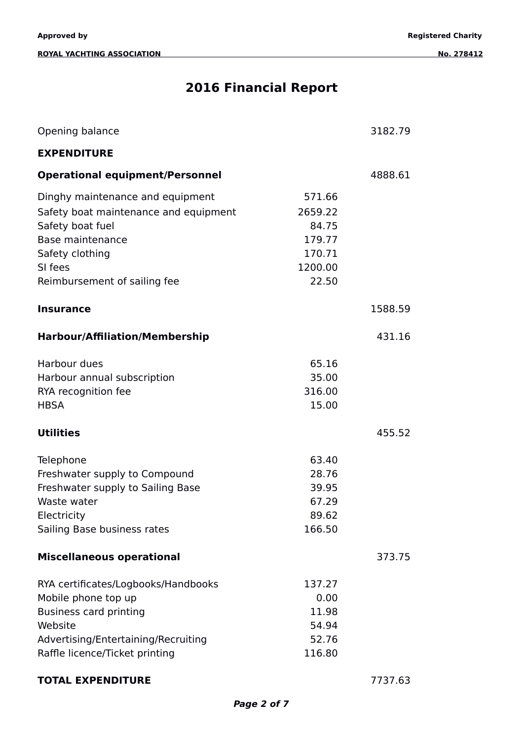#### **ROYAL YACHTING ASSOCIATION** No. 278412

# **2016 Financial Report**

| Opening balance                                                                                                                                                                 |                                                                    | 3182.79 |
|---------------------------------------------------------------------------------------------------------------------------------------------------------------------------------|--------------------------------------------------------------------|---------|
| <b>EXPENDITURE</b>                                                                                                                                                              |                                                                    |         |
| <b>Operational equipment/Personnel</b>                                                                                                                                          |                                                                    | 4888.61 |
| Dinghy maintenance and equipment<br>Safety boat maintenance and equipment<br>Safety boat fuel<br>Base maintenance<br>Safety clothing<br>SI fees<br>Reimbursement of sailing fee | 571.66<br>2659.22<br>84.75<br>179.77<br>170.71<br>1200.00<br>22.50 |         |
| <b>Insurance</b>                                                                                                                                                                |                                                                    | 1588.59 |
| <b>Harbour/Affiliation/Membership</b>                                                                                                                                           |                                                                    | 431.16  |
| Harbour dues<br>Harbour annual subscription<br>RYA recognition fee<br><b>HBSA</b>                                                                                               | 65.16<br>35.00<br>316.00<br>15.00                                  |         |
| <b>Utilities</b>                                                                                                                                                                |                                                                    | 455.52  |
| Telephone<br>Freshwater supply to Compound<br>Freshwater supply to Sailing Base<br>Waste water<br>Electricity<br>Sailing Base business rates                                    | 63.40<br>28.76<br>39.95<br>67.29<br>89.62<br>166.50                |         |
| <b>Miscellaneous operational</b>                                                                                                                                                |                                                                    | 373.75  |
| RYA certificates/Logbooks/Handbooks<br>Mobile phone top up<br><b>Business card printing</b><br>Website<br>Advertising/Entertaining/Recruiting<br>Raffle licence/Ticket printing | 137.27<br>0.00<br>11.98<br>54.94<br>52.76<br>116.80                |         |

### **TOTAL EXPENDITURE** 7737.63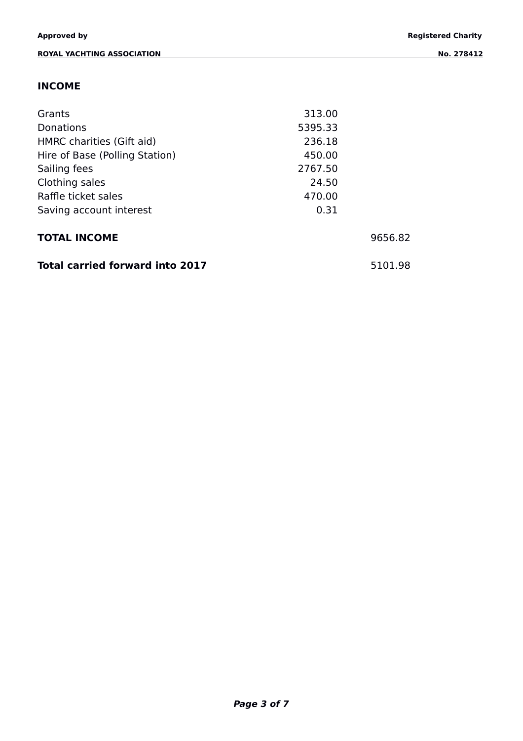### **INCOME**

| Grants                                 | 313.00  |         |
|----------------------------------------|---------|---------|
| Donations                              | 5395.33 |         |
| HMRC charities (Gift aid)              | 236.18  |         |
| Hire of Base (Polling Station)         | 450.00  |         |
| Sailing fees                           | 2767.50 |         |
| Clothing sales                         | 24.50   |         |
| Raffle ticket sales                    | 470.00  |         |
| Saving account interest                | 0.31    |         |
| <b>TOTAL INCOME</b>                    |         | 9656.82 |
| <b>Total carried forward into 2017</b> |         | 5101.98 |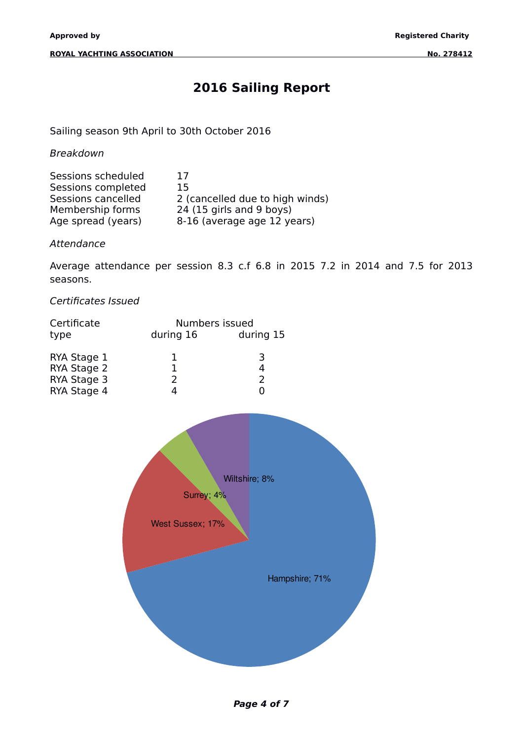## **2016 Sailing Report**

Sailing season 9th April to 30th October 2016

Breakdown

| Sessions scheduled | 17                              |
|--------------------|---------------------------------|
| Sessions completed | 15                              |
| Sessions cancelled | 2 (cancelled due to high winds) |
| Membership forms   | 24 (15 girls and 9 boys)        |
| Age spread (years) | 8-16 (average age 12 years)     |

Attendance

Average attendance per session 8.3 c.f 6.8 in 2015 7.2 in 2014 and 7.5 for 2013 seasons.

Certificates Issued

| Certificate |           | Numbers issued |  |
|-------------|-----------|----------------|--|
| type        | during 16 | during 15      |  |
| RYA Stage 1 |           | 3              |  |
| RYA Stage 2 |           |                |  |
| RYA Stage 3 |           |                |  |
| RYA Stage 4 |           |                |  |



**Page 4 of 7**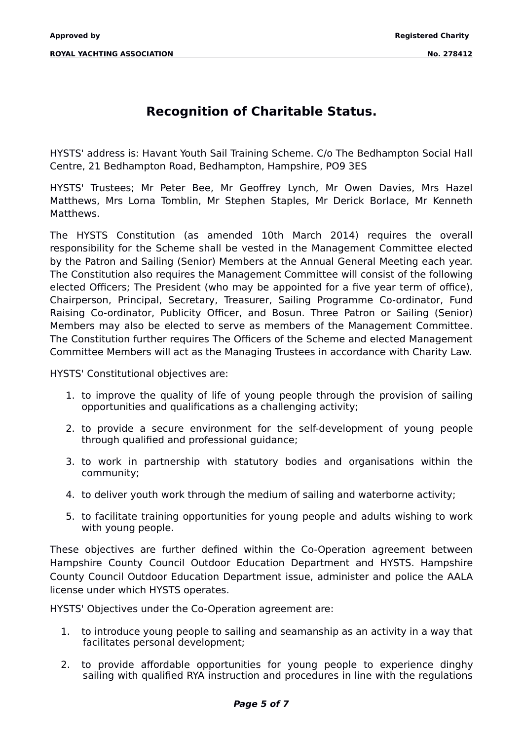## **Recognition of Charitable Status.**

HYSTS' address is: Havant Youth Sail Training Scheme. C/o The Bedhampton Social Hall Centre, 21 Bedhampton Road, Bedhampton, Hampshire, PO9 3ES

HYSTS' Trustees; Mr Peter Bee, Mr Geoffrey Lynch, Mr Owen Davies, Mrs Hazel Matthews, Mrs Lorna Tomblin, Mr Stephen Staples, Mr Derick Borlace, Mr Kenneth Matthews.

The HYSTS Constitution (as amended 10th March 2014) requires the overall responsibility for the Scheme shall be vested in the Management Committee elected by the Patron and Sailing (Senior) Members at the Annual General Meeting each year. The Constitution also requires the Management Committee will consist of the following elected Officers; The President (who may be appointed for a five year term of office), Chairperson, Principal, Secretary, Treasurer, Sailing Programme Co-ordinator, Fund Raising Co-ordinator, Publicity Officer, and Bosun. Three Patron or Sailing (Senior) Members may also be elected to serve as members of the Management Committee. The Constitution further requires The Officers of the Scheme and elected Management Committee Members will act as the Managing Trustees in accordance with Charity Law.

HYSTS' Constitutional objectives are:

- 1. to improve the quality of life of young people through the provision of sailing opportunities and qualifications as a challenging activity;
- 2. to provide a secure environment for the self-development of young people through qualified and professional guidance;
- 3. to work in partnership with statutory bodies and organisations within the community;
- 4. to deliver youth work through the medium of sailing and waterborne activity;
- 5. to facilitate training opportunities for young people and adults wishing to work with young people.

These objectives are further defined within the Co-Operation agreement between Hampshire County Council Outdoor Education Department and HYSTS. Hampshire County Council Outdoor Education Department issue, administer and police the AALA license under which HYSTS operates.

HYSTS' Objectives under the Co-Operation agreement are:

- 1. to introduce young people to sailing and seamanship as an activity in a way that facilitates personal development;
- 2. to provide affordable opportunities for young people to experience dinghy sailing with qualified RYA instruction and procedures in line with the regulations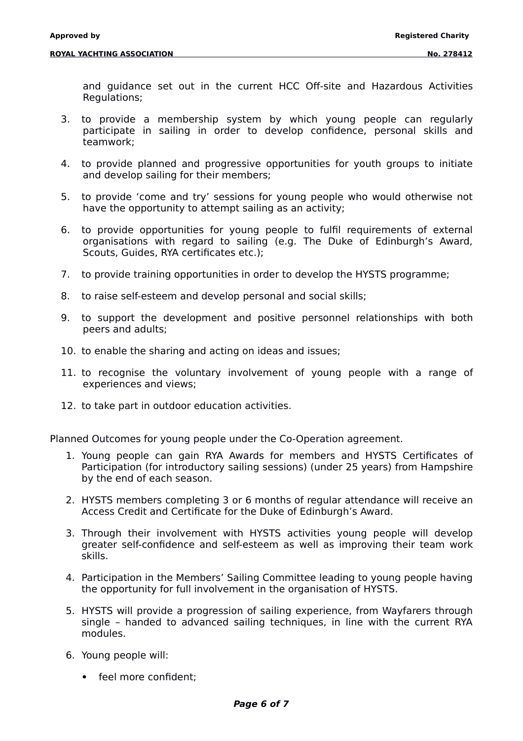and guidance set out in the current HCC Off-site and Hazardous Activities Regulations;

- 3. to provide a membership system by which young people can regularly participate in sailing in order to develop confidence, personal skills and teamwork;
- 4. to provide planned and progressive opportunities for youth groups to initiate and develop sailing for their members;
- 5. to provide 'come and try' sessions for young people who would otherwise not have the opportunity to attempt sailing as an activity;
- 6. to provide opportunities for young people to fulfil requirements of external organisations with regard to sailing (e.g. The Duke of Edinburgh's Award, Scouts, Guides, RYA certificates etc.);
- 7. to provide training opportunities in order to develop the HYSTS programme;
- 8. to raise self-esteem and develop personal and social skills;
- 9. to support the development and positive personnel relationships with both peers and adults;
- 10. to enable the sharing and acting on ideas and issues;
- 11. to recognise the voluntary involvement of young people with a range of experiences and views;
- 12. to take part in outdoor education activities.

Planned Outcomes for young people under the Co-Operation agreement.

- 1. Young people can gain RYA Awards for members and HYSTS Certificates of Participation (for introductory sailing sessions) (under 25 years) from Hampshire by the end of each season.
- 2. HYSTS members completing 3 or 6 months of regular attendance will receive an Access Credit and Certificate for the Duke of Edinburgh's Award.
- 3. Through their involvement with HYSTS activities young people will develop greater self-confidence and self-esteem as well as improving their team work skills.
- 4. Participation in the Members' Sailing Committee leading to young people having the opportunity for full involvement in the organisation of HYSTS.
- 5. HYSTS will provide a progression of sailing experience, from Wayfarers through single – handed to advanced sailing techniques, in line with the current RYA modules.
- 6. Young people will:
	- feel more confident: